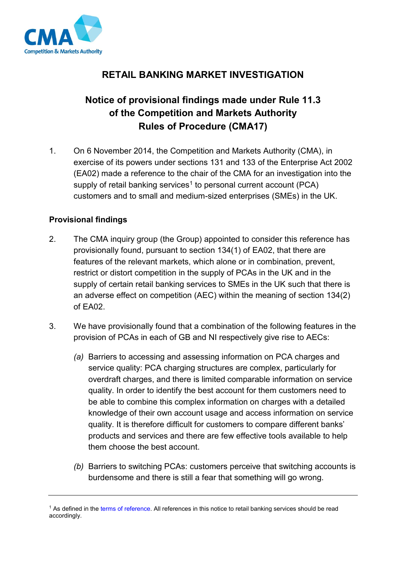

## **RETAIL BANKING MARKET INVESTIGATION**

## **Notice of provisional findings made under Rule 11.3 of the Competition and Markets Authority Rules of Procedure (CMA17)**

1. On 6 November 2014, the Competition and Markets Authority (CMA), in exercise of its powers under sections 131 and 133 of the Enterprise Act 2002 (EA02) made a reference to the chair of the CMA for an investigation into the supply of retail banking services<sup>1</sup> to personal current account (PCA) customers and to small and medium-sized enterprises (SMEs) in the UK.

## **Provisional findings**

- 2. The CMA inquiry group (the Group) appointed to consider this reference has provisionally found, pursuant to section 134(1) of EA02, that there are features of the relevant markets, which alone or in combination, prevent, restrict or distort competition in the supply of PCAs in the UK and in the supply of certain retail banking services to SMEs in the UK such that there is an adverse effect on competition (AEC) within the meaning of section 134(2) of EA02.
- 3. We have provisionally found that a combination of the following features in the provision of PCAs in each of GB and NI respectively give rise to AECs:
	- *(a)* Barriers to accessing and assessing information on PCA charges and service quality: PCA charging structures are complex, particularly for overdraft charges, and there is limited comparable information on service quality. In order to identify the best account for them customers need to be able to combine this complex information on charges with a detailed knowledge of their own account usage and access information on service quality. It is therefore difficult for customers to compare different banks' products and services and there are few effective tools available to help them choose the best account.
	- *(b)* Barriers to switching PCAs: customers perceive that switching accounts is burdensome and there is still a fear that something will go wrong.

<sup>&</sup>lt;sup>1</sup> As defined in th[e terms of reference.](https://www.gov.uk/cma-cases/review-of-banking-for-small-and-medium-sized-businesses-smes-in-the-uk#terms-of-reference) All references in this notice to retail banking services should be read accordingly.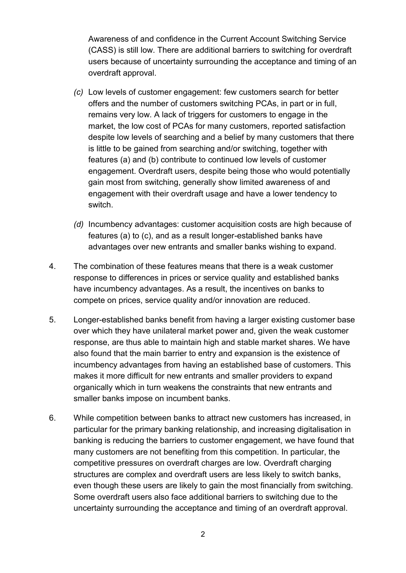Awareness of and confidence in the Current Account Switching Service (CASS) is still low. There are additional barriers to switching for overdraft users because of uncertainty surrounding the acceptance and timing of an overdraft approval.

- *(c)* Low levels of customer engagement: few customers search for better offers and the number of customers switching PCAs, in part or in full, remains very low. A lack of triggers for customers to engage in the market, the low cost of PCAs for many customers, reported satisfaction despite low levels of searching and a belief by many customers that there is little to be gained from searching and/or switching, together with features (a) and (b) contribute to continued low levels of customer engagement. Overdraft users, despite being those who would potentially gain most from switching, generally show limited awareness of and engagement with their overdraft usage and have a lower tendency to switch.
- *(d)* Incumbency advantages: customer acquisition costs are high because of features (a) to (c), and as a result longer-established banks have advantages over new entrants and smaller banks wishing to expand.
- 4. The combination of these features means that there is a weak customer response to differences in prices or service quality and established banks have incumbency advantages. As a result, the incentives on banks to compete on prices, service quality and/or innovation are reduced.
- 5. Longer-established banks benefit from having a larger existing customer base over which they have unilateral market power and, given the weak customer response, are thus able to maintain high and stable market shares. We have also found that the main barrier to entry and expansion is the existence of incumbency advantages from having an established base of customers. This makes it more difficult for new entrants and smaller providers to expand organically which in turn weakens the constraints that new entrants and smaller banks impose on incumbent banks.
- 6. While competition between banks to attract new customers has increased, in particular for the primary banking relationship, and increasing digitalisation in banking is reducing the barriers to customer engagement, we have found that many customers are not benefiting from this competition. In particular, the competitive pressures on overdraft charges are low. Overdraft charging structures are complex and overdraft users are less likely to switch banks, even though these users are likely to gain the most financially from switching. Some overdraft users also face additional barriers to switching due to the uncertainty surrounding the acceptance and timing of an overdraft approval.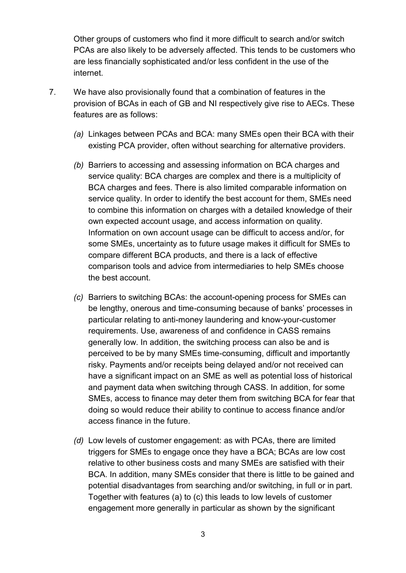Other groups of customers who find it more difficult to search and/or switch PCAs are also likely to be adversely affected. This tends to be customers who are less financially sophisticated and/or less confident in the use of the internet.

- 7. We have also provisionally found that a combination of features in the provision of BCAs in each of GB and NI respectively give rise to AECs. These features are as follows:
	- *(a)* Linkages between PCAs and BCA: many SMEs open their BCA with their existing PCA provider, often without searching for alternative providers.
	- *(b)* Barriers to accessing and assessing information on BCA charges and service quality: BCA charges are complex and there is a multiplicity of BCA charges and fees. There is also limited comparable information on service quality. In order to identify the best account for them, SMEs need to combine this information on charges with a detailed knowledge of their own expected account usage, and access information on quality. Information on own account usage can be difficult to access and/or, for some SMEs, uncertainty as to future usage makes it difficult for SMEs to compare different BCA products, and there is a lack of effective comparison tools and advice from intermediaries to help SMEs choose the best account.
	- *(c)* Barriers to switching BCAs: the account-opening process for SMEs can be lengthy, onerous and time-consuming because of banks' processes in particular relating to anti-money laundering and know-your-customer requirements. Use, awareness of and confidence in CASS remains generally low. In addition, the switching process can also be and is perceived to be by many SMEs time-consuming, difficult and importantly risky. Payments and/or receipts being delayed and/or not received can have a significant impact on an SME as well as potential loss of historical and payment data when switching through CASS. In addition, for some SMEs, access to finance may deter them from switching BCA for fear that doing so would reduce their ability to continue to access finance and/or access finance in the future.
	- *(d)* Low levels of customer engagement: as with PCAs, there are limited triggers for SMEs to engage once they have a BCA; BCAs are low cost relative to other business costs and many SMEs are satisfied with their BCA. In addition, many SMEs consider that there is little to be gained and potential disadvantages from searching and/or switching, in full or in part. Together with features (a) to (c) this leads to low levels of customer engagement more generally in particular as shown by the significant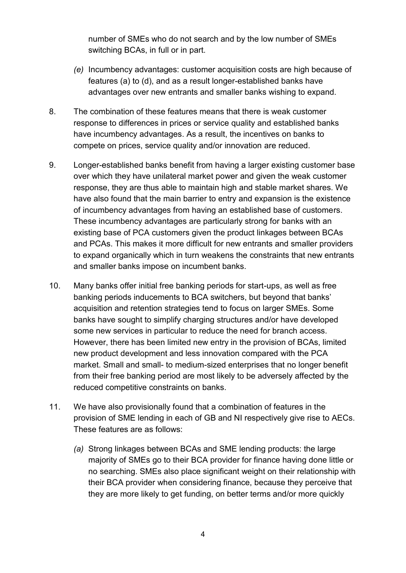number of SMEs who do not search and by the low number of SMEs switching BCAs, in full or in part.

- *(e)* Incumbency advantages: customer acquisition costs are high because of features (a) to (d), and as a result longer-established banks have advantages over new entrants and smaller banks wishing to expand.
- 8. The combination of these features means that there is weak customer response to differences in prices or service quality and established banks have incumbency advantages. As a result, the incentives on banks to compete on prices, service quality and/or innovation are reduced.
- 9. Longer-established banks benefit from having a larger existing customer base over which they have unilateral market power and given the weak customer response, they are thus able to maintain high and stable market shares. We have also found that the main barrier to entry and expansion is the existence of incumbency advantages from having an established base of customers. These incumbency advantages are particularly strong for banks with an existing base of PCA customers given the product linkages between BCAs and PCAs. This makes it more difficult for new entrants and smaller providers to expand organically which in turn weakens the constraints that new entrants and smaller banks impose on incumbent banks.
- 10. Many banks offer initial free banking periods for start-ups, as well as free banking periods inducements to BCA switchers, but beyond that banks' acquisition and retention strategies tend to focus on larger SMEs. Some banks have sought to simplify charging structures and/or have developed some new services in particular to reduce the need for branch access. However, there has been limited new entry in the provision of BCAs, limited new product development and less innovation compared with the PCA market. Small and small- to medium-sized enterprises that no longer benefit from their free banking period are most likely to be adversely affected by the reduced competitive constraints on banks.
- 11. We have also provisionally found that a combination of features in the provision of SME lending in each of GB and NI respectively give rise to AECs. These features are as follows:
	- *(a)* Strong linkages between BCAs and SME lending products: the large majority of SMEs go to their BCA provider for finance having done little or no searching. SMEs also place significant weight on their relationship with their BCA provider when considering finance, because they perceive that they are more likely to get funding, on better terms and/or more quickly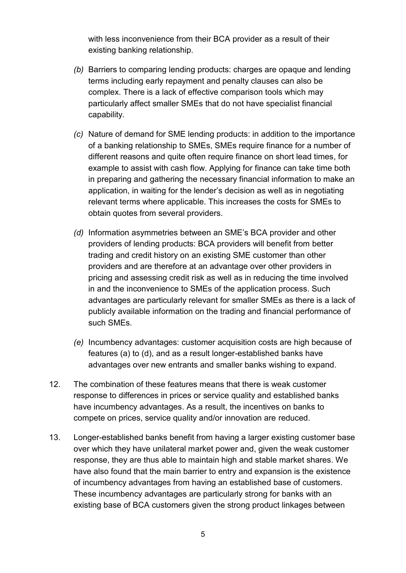with less inconvenience from their BCA provider as a result of their existing banking relationship.

- *(b)* Barriers to comparing lending products: charges are opaque and lending terms including early repayment and penalty clauses can also be complex. There is a lack of effective comparison tools which may particularly affect smaller SMEs that do not have specialist financial capability.
- *(c)* Nature of demand for SME lending products: in addition to the importance of a banking relationship to SMEs, SMEs require finance for a number of different reasons and quite often require finance on short lead times, for example to assist with cash flow. Applying for finance can take time both in preparing and gathering the necessary financial information to make an application, in waiting for the lender's decision as well as in negotiating relevant terms where applicable. This increases the costs for SMEs to obtain quotes from several providers.
- *(d)* Information asymmetries between an SME's BCA provider and other providers of lending products: BCA providers will benefit from better trading and credit history on an existing SME customer than other providers and are therefore at an advantage over other providers in pricing and assessing credit risk as well as in reducing the time involved in and the inconvenience to SMEs of the application process. Such advantages are particularly relevant for smaller SMEs as there is a lack of publicly available information on the trading and financial performance of such SMEs.
- *(e)* Incumbency advantages: customer acquisition costs are high because of features (a) to (d), and as a result longer-established banks have advantages over new entrants and smaller banks wishing to expand.
- 12. The combination of these features means that there is weak customer response to differences in prices or service quality and established banks have incumbency advantages. As a result, the incentives on banks to compete on prices, service quality and/or innovation are reduced.
- 13. Longer-established banks benefit from having a larger existing customer base over which they have unilateral market power and, given the weak customer response, they are thus able to maintain high and stable market shares. We have also found that the main barrier to entry and expansion is the existence of incumbency advantages from having an established base of customers. These incumbency advantages are particularly strong for banks with an existing base of BCA customers given the strong product linkages between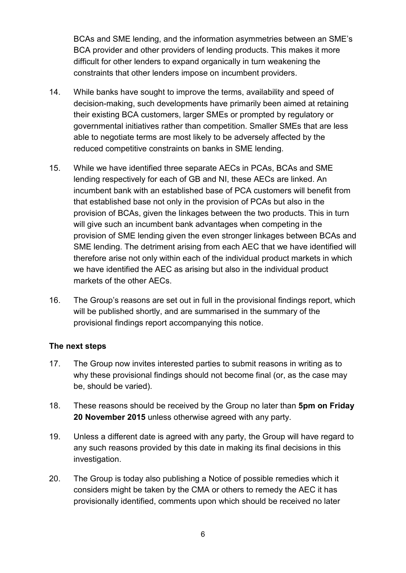BCAs and SME lending, and the information asymmetries between an SME's BCA provider and other providers of lending products. This makes it more difficult for other lenders to expand organically in turn weakening the constraints that other lenders impose on incumbent providers.

- 14. While banks have sought to improve the terms, availability and speed of decision-making, such developments have primarily been aimed at retaining their existing BCA customers, larger SMEs or prompted by regulatory or governmental initiatives rather than competition. Smaller SMEs that are less able to negotiate terms are most likely to be adversely affected by the reduced competitive constraints on banks in SME lending.
- 15. While we have identified three separate AECs in PCAs, BCAs and SME lending respectively for each of GB and NI, these AECs are linked. An incumbent bank with an established base of PCA customers will benefit from that established base not only in the provision of PCAs but also in the provision of BCAs, given the linkages between the two products. This in turn will give such an incumbent bank advantages when competing in the provision of SME lending given the even stronger linkages between BCAs and SME lending. The detriment arising from each AEC that we have identified will therefore arise not only within each of the individual product markets in which we have identified the AEC as arising but also in the individual product markets of the other AECs.
- 16. The Group's reasons are set out in full in the provisional findings report, which will be published shortly, and are summarised in the summary of the provisional findings report accompanying this notice.

## **The next steps**

- 17. The Group now invites interested parties to submit reasons in writing as to why these provisional findings should not become final (or, as the case may be, should be varied).
- 18. These reasons should be received by the Group no later than **5pm on Friday 20 November 2015** unless otherwise agreed with any party.
- 19. Unless a different date is agreed with any party, the Group will have regard to any such reasons provided by this date in making its final decisions in this investigation.
- 20. The Group is today also publishing a Notice of possible remedies which it considers might be taken by the CMA or others to remedy the AEC it has provisionally identified, comments upon which should be received no later